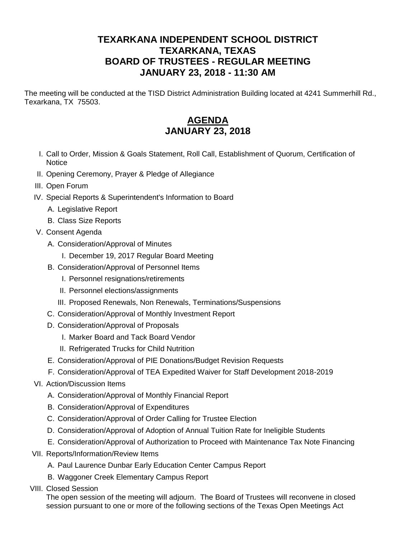## **TEXARKANA INDEPENDENT SCHOOL DISTRICT TEXARKANA, TEXAS BOARD OF TRUSTEES - REGULAR MEETING JANUARY 23, 2018 - 11:30 AM**

The meeting will be conducted at the TISD District Administration Building located at 4241 Summerhill Rd., Texarkana, TX 75503.

## **AGENDA JANUARY 23, 2018**

- I. Call to Order, Mission & Goals Statement, Roll Call, Establishment of Quorum, Certification of **Notice**
- II. Opening Ceremony, Prayer & Pledge of Allegiance
- III. Open Forum
- IV. Special Reports & Superintendent's Information to Board
	- A. Legislative Report
	- B. Class Size Reports
- V. Consent Agenda
	- A. Consideration/Approval of Minutes
		- I. December 19, 2017 Regular Board Meeting
	- B. Consideration/Approval of Personnel Items
		- I. Personnel resignations/retirements
		- II. Personnel elections/assignments
		- III. Proposed Renewals, Non Renewals, Terminations/Suspensions
	- C. Consideration/Approval of Monthly Investment Report
	- D. Consideration/Approval of Proposals
		- I. Marker Board and Tack Board Vendor
		- II. Refrigerated Trucks for Child Nutrition
	- E. Consideration/Approval of PIE Donations/Budget Revision Requests
	- F. Consideration/Approval of TEA Expedited Waiver for Staff Development 2018-2019
- VI. Action/Discussion Items
	- A. Consideration/Approval of Monthly Financial Report
	- B. Consideration/Approval of Expenditures
	- C. Consideration/Approval of Order Calling for Trustee Election
	- D. Consideration/Approval of Adoption of Annual Tuition Rate for Ineligible Students
	- E. Consideration/Approval of Authorization to Proceed with Maintenance Tax Note Financing
- VII. Reports/Information/Review Items
	- A. Paul Laurence Dunbar Early Education Center Campus Report
	- B. Waggoner Creek Elementary Campus Report
- VIII. Closed Session

The open session of the meeting will adjourn. The Board of Trustees will reconvene in closed session pursuant to one or more of the following sections of the Texas Open Meetings Act